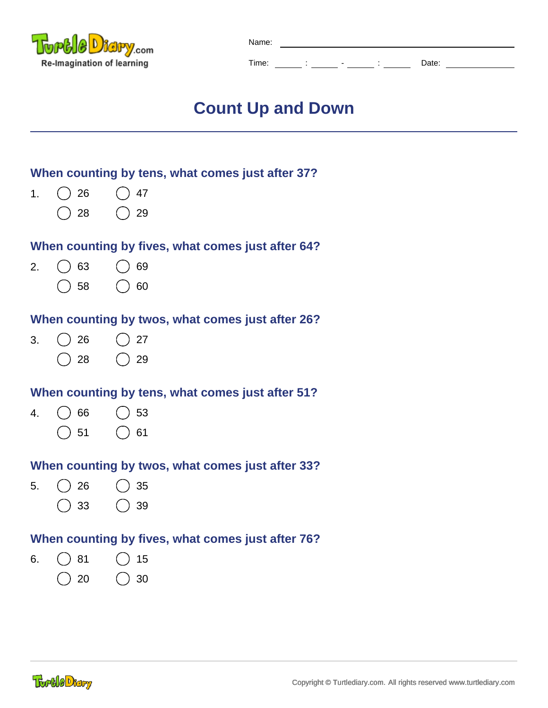

| Name: |  |         |       |  |
|-------|--|---------|-------|--|
| Time: |  | $\cdot$ | Date: |  |

# **Count Up and Down**

# **When counting by tens, what comes just after 37?**

- 1. 26 () 47  $($ )
	- 28 () 29

## **When counting by fives, what comes just after 64?**

- 63 ( ) 69 2.  $($ )
	- $( ) 58 ( ) 60$

## **When counting by twos, what comes just after 26?**

26  $\bigcirc$  27 3. ( 28 () 29

# **When counting by tens, what comes just after 51?**

4. 66 () 53  $( )$  $( ) 51 ( ) 61$ 

# **When counting by twos, what comes just after 33?**

- 5.  $($ ) 26 35
	- $( ) 33 ( ) 39$

# **When counting by fives, what comes just after 76?**

6.  $() 81 () 15$  $( ) 20 ( ) 30$